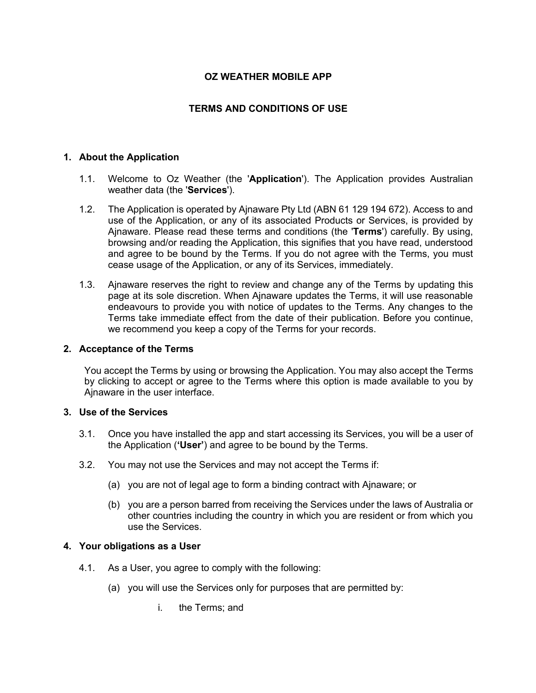# **OZ WEATHER MOBILE APP**

# **TERMS AND CONDITIONS OF USE**

## **1. About the Application**

- 1.1. Welcome to Oz Weather (the '**Application**'). The Application provides Australian weather data (the '**Services**').
- 1.2. The Application is operated by Ajnaware Pty Ltd (ABN 61 129 194 672). Access to and use of the Application, or any of its associated Products or Services, is provided by Ajnaware. Please read these terms and conditions (the '**Terms**') carefully. By using, browsing and/or reading the Application, this signifies that you have read, understood and agree to be bound by the Terms. If you do not agree with the Terms, you must cease usage of the Application, or any of its Services, immediately.
- 1.3. Ajnaware reserves the right to review and change any of the Terms by updating this page at its sole discretion. When Ajnaware updates the Terms, it will use reasonable endeavours to provide you with notice of updates to the Terms. Any changes to the Terms take immediate effect from the date of their publication. Before you continue, we recommend you keep a copy of the Terms for your records.

#### **2. Acceptance of the Terms**

You accept the Terms by using or browsing the Application. You may also accept the Terms by clicking to accept or agree to the Terms where this option is made available to you by Ainaware in the user interface.

#### **3. Use of the Services**

- 3.1. Once you have installed the app and start accessing its Services, you will be a user of the Application (**'User'**) and agree to be bound by the Terms.
- 3.2. You may not use the Services and may not accept the Terms if:
	- (a) you are not of legal age to form a binding contract with Ajnaware; or
	- (b) you are a person barred from receiving the Services under the laws of Australia or other countries including the country in which you are resident or from which you use the Services.

# **4. Your obligations as a User**

- 4.1. As a User, you agree to comply with the following:
	- (a) you will use the Services only for purposes that are permitted by:
		- i. the Terms; and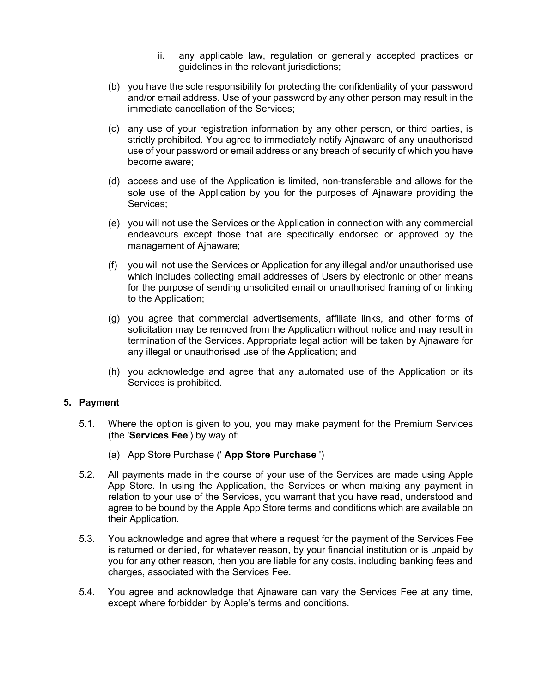- ii. any applicable law, regulation or generally accepted practices or guidelines in the relevant jurisdictions;
- (b) you have the sole responsibility for protecting the confidentiality of your password and/or email address. Use of your password by any other person may result in the immediate cancellation of the Services;
- (c) any use of your registration information by any other person, or third parties, is strictly prohibited. You agree to immediately notify Ajnaware of any unauthorised use of your password or email address or any breach of security of which you have become aware;
- (d) access and use of the Application is limited, non-transferable and allows for the sole use of the Application by you for the purposes of Ajnaware providing the Services;
- (e) you will not use the Services or the Application in connection with any commercial endeavours except those that are specifically endorsed or approved by the management of Ajnaware;
- (f) you will not use the Services or Application for any illegal and/or unauthorised use which includes collecting email addresses of Users by electronic or other means for the purpose of sending unsolicited email or unauthorised framing of or linking to the Application;
- (g) you agree that commercial advertisements, affiliate links, and other forms of solicitation may be removed from the Application without notice and may result in termination of the Services. Appropriate legal action will be taken by Ajnaware for any illegal or unauthorised use of the Application; and
- (h) you acknowledge and agree that any automated use of the Application or its Services is prohibited.

# **5. Payment**

- 5.1. Where the option is given to you, you may make payment for the Premium Services (the '**Services Fee**') by way of:
	- (a) App Store Purchase (' **App Store Purchase** ')
- 5.2. All payments made in the course of your use of the Services are made using Apple App Store. In using the Application, the Services or when making any payment in relation to your use of the Services, you warrant that you have read, understood and agree to be bound by the Apple App Store terms and conditions which are available on their Application.
- 5.3. You acknowledge and agree that where a request for the payment of the Services Fee is returned or denied, for whatever reason, by your financial institution or is unpaid by you for any other reason, then you are liable for any costs, including banking fees and charges, associated with the Services Fee.
- 5.4. You agree and acknowledge that Ajnaware can vary the Services Fee at any time, except where forbidden by Apple's terms and conditions.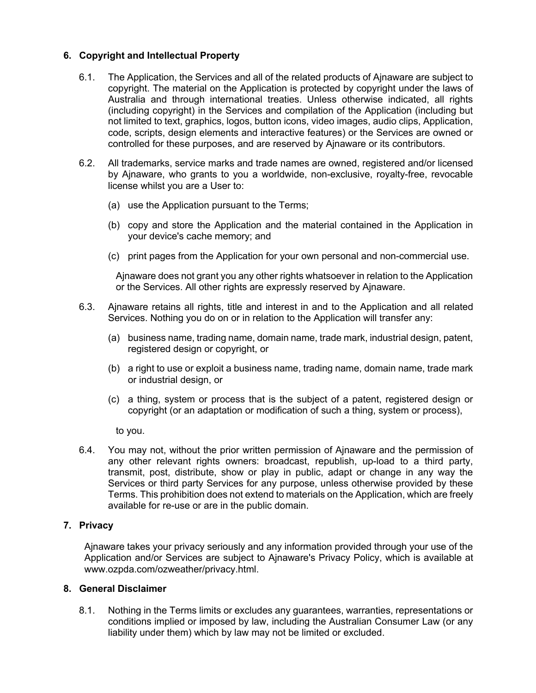# **6. Copyright and Intellectual Property**

- 6.1. The Application, the Services and all of the related products of Ajnaware are subject to copyright. The material on the Application is protected by copyright under the laws of Australia and through international treaties. Unless otherwise indicated, all rights (including copyright) in the Services and compilation of the Application (including but not limited to text, graphics, logos, button icons, video images, audio clips, Application, code, scripts, design elements and interactive features) or the Services are owned or controlled for these purposes, and are reserved by Ajnaware or its contributors.
- 6.2. All trademarks, service marks and trade names are owned, registered and/or licensed by Ajnaware, who grants to you a worldwide, non-exclusive, royalty-free, revocable license whilst you are a User to:
	- (a) use the Application pursuant to the Terms;
	- (b) copy and store the Application and the material contained in the Application in your device's cache memory; and
	- (c) print pages from the Application for your own personal and non-commercial use.

Ajnaware does not grant you any other rights whatsoever in relation to the Application or the Services. All other rights are expressly reserved by Ajnaware.

- 6.3. Ajnaware retains all rights, title and interest in and to the Application and all related Services. Nothing you do on or in relation to the Application will transfer any:
	- (a) business name, trading name, domain name, trade mark, industrial design, patent, registered design or copyright, or
	- (b) a right to use or exploit a business name, trading name, domain name, trade mark or industrial design, or
	- (c) a thing, system or process that is the subject of a patent, registered design or copyright (or an adaptation or modification of such a thing, system or process),

to you.

6.4. You may not, without the prior written permission of Ajnaware and the permission of any other relevant rights owners: broadcast, republish, up-load to a third party, transmit, post, distribute, show or play in public, adapt or change in any way the Services or third party Services for any purpose, unless otherwise provided by these Terms. This prohibition does not extend to materials on the Application, which are freely available for re-use or are in the public domain.

# **7. Privacy**

Ajnaware takes your privacy seriously and any information provided through your use of the Application and/or Services are subject to Ajnaware's Privacy Policy, which is available at www.ozpda.com/ozweather/privacy.html.

# **8. General Disclaimer**

8.1. Nothing in the Terms limits or excludes any guarantees, warranties, representations or conditions implied or imposed by law, including the Australian Consumer Law (or any liability under them) which by law may not be limited or excluded.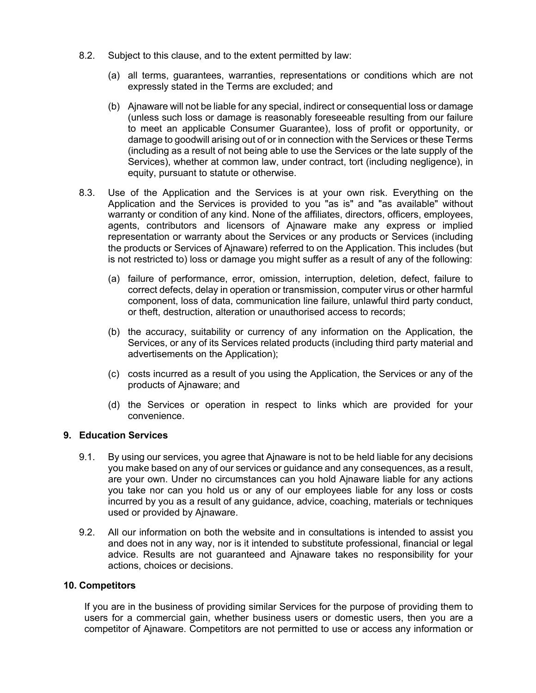- 8.2. Subject to this clause, and to the extent permitted by law:
	- (a) all terms, guarantees, warranties, representations or conditions which are not expressly stated in the Terms are excluded; and
	- (b) Ajnaware will not be liable for any special, indirect or consequential loss or damage (unless such loss or damage is reasonably foreseeable resulting from our failure to meet an applicable Consumer Guarantee), loss of profit or opportunity, or damage to goodwill arising out of or in connection with the Services or these Terms (including as a result of not being able to use the Services or the late supply of the Services), whether at common law, under contract, tort (including negligence), in equity, pursuant to statute or otherwise.
- 8.3. Use of the Application and the Services is at your own risk. Everything on the Application and the Services is provided to you "as is" and "as available" without warranty or condition of any kind. None of the affiliates, directors, officers, employees, agents, contributors and licensors of Ajnaware make any express or implied representation or warranty about the Services or any products or Services (including the products or Services of Ajnaware) referred to on the Application. This includes (but is not restricted to) loss or damage you might suffer as a result of any of the following:
	- (a) failure of performance, error, omission, interruption, deletion, defect, failure to correct defects, delay in operation or transmission, computer virus or other harmful component, loss of data, communication line failure, unlawful third party conduct, or theft, destruction, alteration or unauthorised access to records;
	- (b) the accuracy, suitability or currency of any information on the Application, the Services, or any of its Services related products (including third party material and advertisements on the Application);
	- (c) costs incurred as a result of you using the Application, the Services or any of the products of Ajnaware; and
	- (d) the Services or operation in respect to links which are provided for your convenience.

# **9. Education Services**

- 9.1. By using our services, you agree that Ajnaware is not to be held liable for any decisions you make based on any of our services or guidance and any consequences, as a result, are your own. Under no circumstances can you hold Ajnaware liable for any actions you take nor can you hold us or any of our employees liable for any loss or costs incurred by you as a result of any guidance, advice, coaching, materials or techniques used or provided by Ajnaware.
- 9.2. All our information on both the website and in consultations is intended to assist you and does not in any way, nor is it intended to substitute professional, financial or legal advice. Results are not guaranteed and Ajnaware takes no responsibility for your actions, choices or decisions.

#### **10. Competitors**

If you are in the business of providing similar Services for the purpose of providing them to users for a commercial gain, whether business users or domestic users, then you are a competitor of Ajnaware. Competitors are not permitted to use or access any information or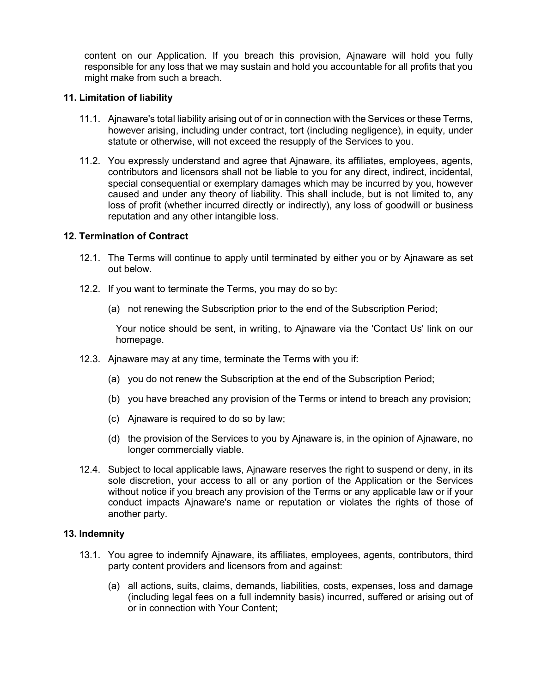content on our Application. If you breach this provision, Ajnaware will hold you fully responsible for any loss that we may sustain and hold you accountable for all profits that you might make from such a breach.

## **11. Limitation of liability**

- 11.1. Ajnaware's total liability arising out of or in connection with the Services or these Terms, however arising, including under contract, tort (including negligence), in equity, under statute or otherwise, will not exceed the resupply of the Services to you.
- 11.2. You expressly understand and agree that Ajnaware, its affiliates, employees, agents, contributors and licensors shall not be liable to you for any direct, indirect, incidental, special consequential or exemplary damages which may be incurred by you, however caused and under any theory of liability. This shall include, but is not limited to, any loss of profit (whether incurred directly or indirectly), any loss of goodwill or business reputation and any other intangible loss.

## **12. Termination of Contract**

- 12.1. The Terms will continue to apply until terminated by either you or by Ajnaware as set out below.
- 12.2. If you want to terminate the Terms, you may do so by:
	- (a) not renewing the Subscription prior to the end of the Subscription Period;

Your notice should be sent, in writing, to Ajnaware via the 'Contact Us' link on our homepage.

- 12.3. Ajnaware may at any time, terminate the Terms with you if:
	- (a) you do not renew the Subscription at the end of the Subscription Period;
	- (b) you have breached any provision of the Terms or intend to breach any provision;
	- (c) Ajnaware is required to do so by law;
	- (d) the provision of the Services to you by Ajnaware is, in the opinion of Ajnaware, no longer commercially viable.
- 12.4. Subject to local applicable laws, Ajnaware reserves the right to suspend or deny, in its sole discretion, your access to all or any portion of the Application or the Services without notice if you breach any provision of the Terms or any applicable law or if your conduct impacts Ajnaware's name or reputation or violates the rights of those of another party.

## **13. Indemnity**

- 13.1. You agree to indemnify Ajnaware, its affiliates, employees, agents, contributors, third party content providers and licensors from and against:
	- (a) all actions, suits, claims, demands, liabilities, costs, expenses, loss and damage (including legal fees on a full indemnity basis) incurred, suffered or arising out of or in connection with Your Content;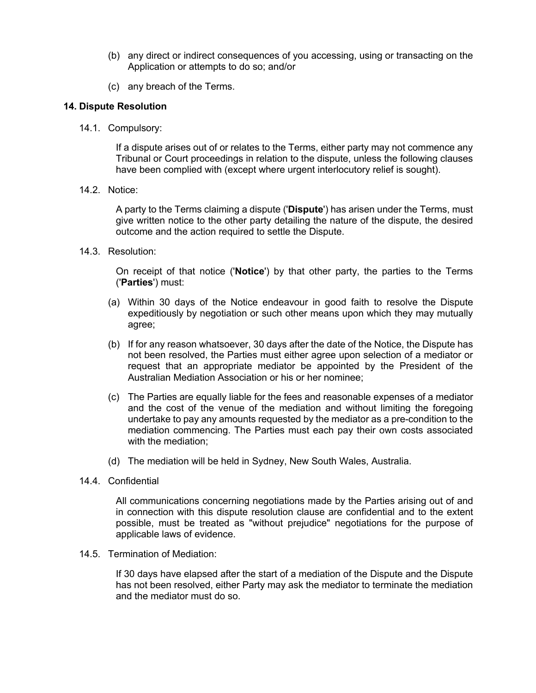- (b) any direct or indirect consequences of you accessing, using or transacting on the Application or attempts to do so; and/or
- (c) any breach of the Terms.

## **14. Dispute Resolution**

14.1. Compulsory:

If a dispute arises out of or relates to the Terms, either party may not commence any Tribunal or Court proceedings in relation to the dispute, unless the following clauses have been complied with (except where urgent interlocutory relief is sought).

14.2. Notice:

A party to the Terms claiming a dispute ('**Dispute**') has arisen under the Terms, must give written notice to the other party detailing the nature of the dispute, the desired outcome and the action required to settle the Dispute.

14.3. Resolution:

On receipt of that notice ('**Notice**') by that other party, the parties to the Terms ('**Parties**') must:

- (a) Within 30 days of the Notice endeavour in good faith to resolve the Dispute expeditiously by negotiation or such other means upon which they may mutually agree;
- (b) If for any reason whatsoever, 30 days after the date of the Notice, the Dispute has not been resolved, the Parties must either agree upon selection of a mediator or request that an appropriate mediator be appointed by the President of the Australian Mediation Association or his or her nominee;
- (c) The Parties are equally liable for the fees and reasonable expenses of a mediator and the cost of the venue of the mediation and without limiting the foregoing undertake to pay any amounts requested by the mediator as a pre-condition to the mediation commencing. The Parties must each pay their own costs associated with the mediation;
- (d) The mediation will be held in Sydney, New South Wales, Australia.
- 14.4. Confidential

All communications concerning negotiations made by the Parties arising out of and in connection with this dispute resolution clause are confidential and to the extent possible, must be treated as "without prejudice" negotiations for the purpose of applicable laws of evidence.

14.5. Termination of Mediation:

If 30 days have elapsed after the start of a mediation of the Dispute and the Dispute has not been resolved, either Party may ask the mediator to terminate the mediation and the mediator must do so.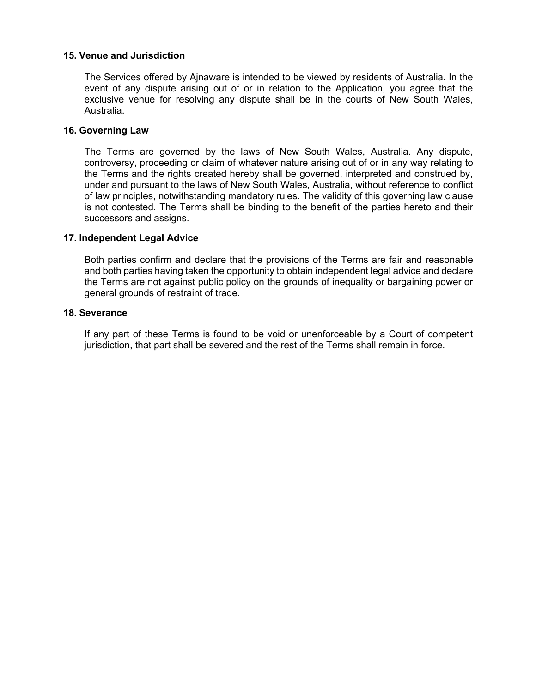## **15. Venue and Jurisdiction**

The Services offered by Ajnaware is intended to be viewed by residents of Australia. In the event of any dispute arising out of or in relation to the Application, you agree that the exclusive venue for resolving any dispute shall be in the courts of New South Wales, Australia.

#### **16. Governing Law**

The Terms are governed by the laws of New South Wales, Australia. Any dispute, controversy, proceeding or claim of whatever nature arising out of or in any way relating to the Terms and the rights created hereby shall be governed, interpreted and construed by, under and pursuant to the laws of New South Wales, Australia, without reference to conflict of law principles, notwithstanding mandatory rules. The validity of this governing law clause is not contested. The Terms shall be binding to the benefit of the parties hereto and their successors and assigns.

#### **17. Independent Legal Advice**

Both parties confirm and declare that the provisions of the Terms are fair and reasonable and both parties having taken the opportunity to obtain independent legal advice and declare the Terms are not against public policy on the grounds of inequality or bargaining power or general grounds of restraint of trade.

## **18. Severance**

If any part of these Terms is found to be void or unenforceable by a Court of competent jurisdiction, that part shall be severed and the rest of the Terms shall remain in force.